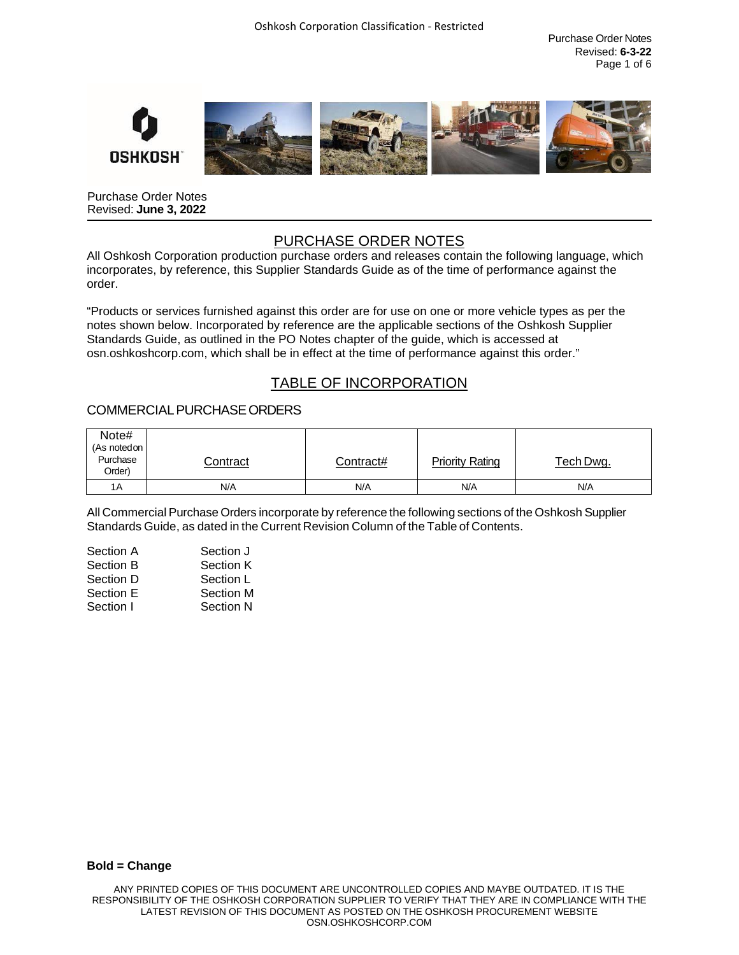Purchase Order Notes Revised: **6-3-22** Page 1 of 6



Purchase Order Notes Revised: **June 3, 2022**

# PURCHASE ORDER NOTES

All Oshkosh Corporation production purchase orders and releases contain the following language, which incorporates, by reference, this Supplier Standards Guide as of the time of performance against the order.

"Products or services furnished against this order are for use on one or more vehicle types as per the notes shown below. Incorporated by reference are the applicable sections of the Oshkosh Supplier Standards Guide, as outlined in the PO Notes chapter of the guide, which is accessed at osn.oshkoshcorp.com, which shall be in effect at the time of performance against this order."

# TABLE OF INCORPORATION

## COMMERCIALPURCHASEORDERS

| Note#<br>(As noted on<br>Purchase | Contract | Contract# | <b>Priority Rating</b> | Tech Dwg. |
|-----------------------------------|----------|-----------|------------------------|-----------|
| Order)                            |          |           |                        |           |
| 1A                                | N/A      | N/A       | N/A                    | N/A       |

All Commercial Purchase Orders incorporate by reference the following sections of the Oshkosh Supplier Standards Guide, as dated in the Current Revision Column of the Table of Contents.

| Section A | Section J        |
|-----------|------------------|
| Section B | Section K        |
| Section D | Section L        |
| Section E | <b>Section M</b> |
| Section I | Section N        |
|           |                  |

#### **Bold = Change**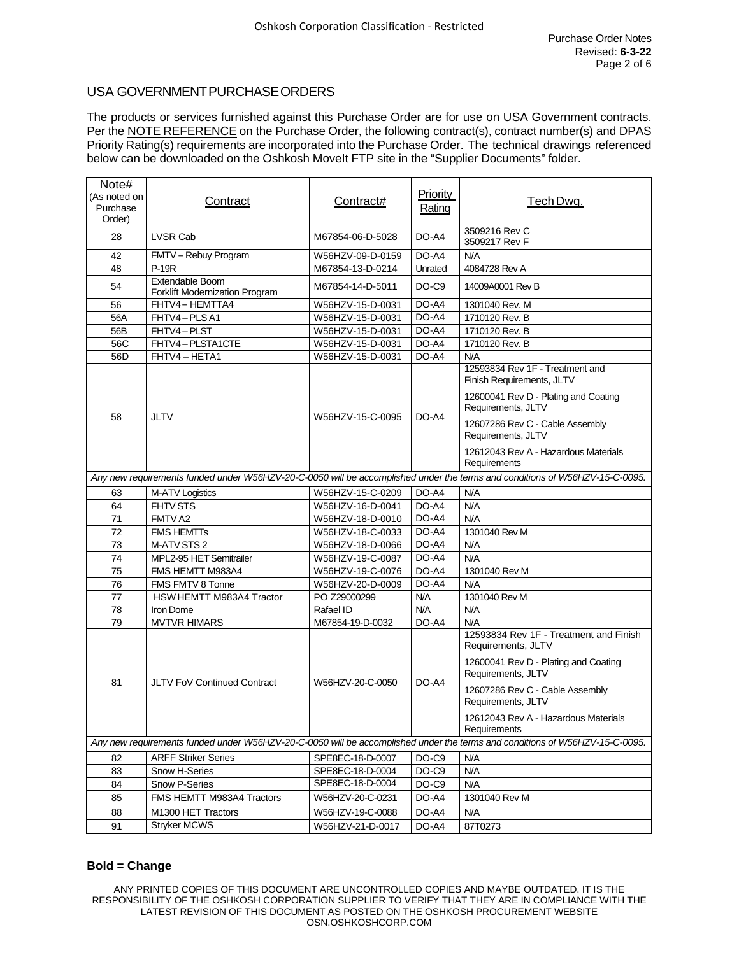## USA GOVERNMENT PURCHASE ORDERS

The products or services furnished against this Purchase Order are for use on USA Government contracts. Per the **NOTE REFERENCE** on the Purchase Order, the following contract(s), contract number(s) and DPAS Priority Rating(s) requirements are incorporated into the Purchase Order. The technical drawings referenced below can be downloaded on the Oshkosh MoveIt FTP site in the "Supplier Documents" folder.

| Note#<br>(As noted on<br>Purchase<br>Order) | Contract                                          | Contract#        | <b>Priority</b><br>Rating | Tech Dwg.                                                                                                                   |
|---------------------------------------------|---------------------------------------------------|------------------|---------------------------|-----------------------------------------------------------------------------------------------------------------------------|
| 28                                          | LVSR Cab                                          | M67854-06-D-5028 | DO-A4                     | 3509216 Rev C<br>3509217 Rev F                                                                                              |
| 42                                          | FMTV - Rebuy Program                              | W56HZV-09-D-0159 | DO-A4                     | N/A                                                                                                                         |
| 48                                          | <b>P-19R</b>                                      | M67854-13-D-0214 | Unrated                   | 4084728 Rev A                                                                                                               |
| 54                                          | Extendable Boom<br>Forklift Modernization Program | M67854-14-D-5011 | DO-C9                     | 14009A0001 Rev B                                                                                                            |
| 56                                          | FHTV4-HEMTTA4                                     | W56HZV-15-D-0031 | DO-A4                     | 1301040 Rev. M                                                                                                              |
| 56A                                         | FHTV4-PLSA1                                       | W56HZV-15-D-0031 | DO-A4                     | 1710120 Rev. B                                                                                                              |
| 56B                                         | FHTV4-PLST                                        | W56HZV-15-D-0031 | DO-A4                     | 1710120 Rev. B                                                                                                              |
| 56C                                         | FHTV4-PLSTA1CTE                                   | W56HZV-15-D-0031 | DO-A4                     | 1710120 Rev. B                                                                                                              |
| 56D                                         | FHTV4-HETA1                                       | W56HZV-15-D-0031 | DO-A4                     | N/A                                                                                                                         |
|                                             |                                                   |                  |                           | 12593834 Rev 1F - Treatment and<br>Finish Requirements, JLTV                                                                |
|                                             |                                                   |                  |                           | 12600041 Rev D - Plating and Coating<br>Requirements, JLTV                                                                  |
| 58                                          | JLTV                                              | W56HZV-15-C-0095 | DO-A4                     | 12607286 Rev C - Cable Assembly<br>Requirements, JLTV                                                                       |
|                                             |                                                   |                  |                           | 12612043 Rev A - Hazardous Materials<br>Requirements                                                                        |
|                                             |                                                   |                  |                           | Any new requirements funded under W56HZV-20-C-0050 will be accomplished under the terms and conditions of W56HZV-15-C-0095. |
| 63                                          | M-ATV Logistics                                   | W56HZV-15-C-0209 | DO-A4                     | N/A                                                                                                                         |
| 64                                          | FHTV STS                                          | W56HZV-16-D-0041 | DO-A4                     | N/A                                                                                                                         |
| 71                                          | FMTV A2                                           | W56HZV-18-D-0010 | DO-A4                     | N/A                                                                                                                         |
| 72                                          | <b>FMS HEMTTs</b>                                 | W56HZV-18-C-0033 | DO-A4                     | 1301040 Rev M                                                                                                               |
| 73                                          | M-ATV STS 2                                       | W56HZV-18-D-0066 | DO-A4                     | N/A                                                                                                                         |
| 74                                          | MPL2-95 HET Semitrailer                           | W56HZV-19-C-0087 | DO-A4                     | N/A                                                                                                                         |
| 75                                          | FMS HEMTT M983A4                                  | W56HZV-19-C-0076 | DO-A4                     | 1301040 Rev M                                                                                                               |
| 76                                          | FMS FMTV 8 Tonne                                  | W56HZV-20-D-0009 | DO-A4                     | N/A                                                                                                                         |
| 77                                          | HSW HEMTT M983A4 Tractor                          | PO Z29000299     | N/A                       | 1301040 Rev M                                                                                                               |
| 78                                          | Iron Dome                                         | Rafael ID        | N/A                       | N/A                                                                                                                         |
| 79                                          | <b>MVTVR HIMARS</b>                               | M67854-19-D-0032 | DO-A4                     | N/A                                                                                                                         |
|                                             |                                                   |                  |                           | 12593834 Rev 1F - Treatment and Finish<br>Requirements, JLTV                                                                |
|                                             |                                                   |                  |                           | 12600041 Rev D - Plating and Coating<br>Requirements, JLTV                                                                  |
| 81                                          | <b>JLTV FoV Continued Contract</b>                | W56HZV-20-C-0050 | DO-A4                     | 12607286 Rev C - Cable Assembly<br>Requirements, JLTV                                                                       |
|                                             |                                                   |                  |                           | 12612043 Rev A - Hazardous Materials<br>Requirements                                                                        |
|                                             |                                                   |                  |                           | Any new requirements funded under W56HZV-20-C-0050 will be accomplished under the terms and-conditions of W56HZV-15-C-0095. |
| 82                                          | <b>ARFF Striker Series</b>                        | SPE8EC-18-D-0007 | DO-C9                     | N/A                                                                                                                         |
| 83                                          | Snow H-Series                                     | SPE8EC-18-D-0004 | DO-C9                     | N/A                                                                                                                         |
| 84                                          | Snow P-Series                                     | SPE8EC-18-D-0004 | DO-C9                     | N/A                                                                                                                         |
| 85                                          | FMS HEMTT M983A4 Tractors                         | W56HZV-20-C-0231 | DO-A4                     | 1301040 Rev M                                                                                                               |
| 88                                          | M1300 HET Tractors                                | W56HZV-19-C-0088 | DO-A4                     | N/A                                                                                                                         |
| 91                                          | <b>Stryker MCWS</b>                               | W56HZV-21-D-0017 | DO-A4                     | 87T0273                                                                                                                     |

### **Bold = Change**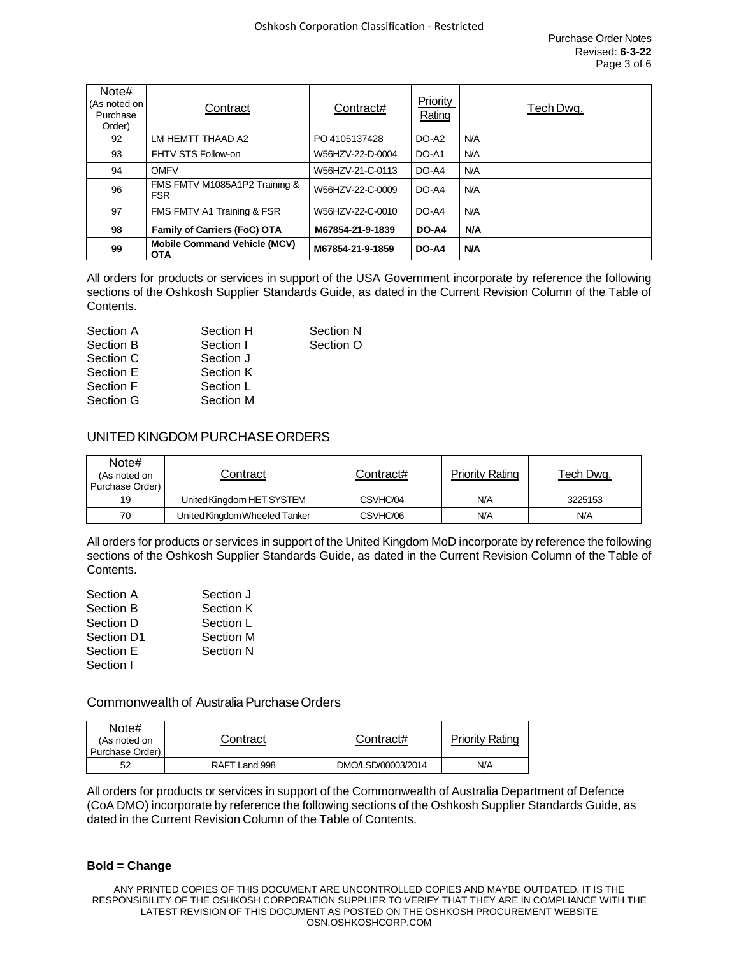| Note#<br>(As noted on<br>Purchase<br>Order) | Contract                                          | Contract#        | Priority<br>Rating | Tech Dwg.  |
|---------------------------------------------|---------------------------------------------------|------------------|--------------------|------------|
| 92                                          | LM HEMTT THAAD A2                                 | PO 4105137428    | DO-A2              | N/A        |
| 93                                          | FHTV STS Follow-on                                | W56HZV-22-D-0004 | DO-A1              | N/A        |
| 94                                          | <b>OMFV</b>                                       | W56HZV-21-C-0113 | DO-A4              | N/A        |
| 96                                          | FMS FMTV M1085A1P2 Training &<br><b>FSR</b>       | W56HZV-22-C-0009 | DO-A4              | N/A        |
| 97                                          | FMS FMTV A1 Training & FSR                        | W56HZV-22-C-0010 | DO-A4              | N/A        |
| 98                                          | <b>Family of Carriers (FoC) OTA</b>               | M67854-21-9-1839 | DO-A4              | <b>N/A</b> |
| 99                                          | <b>Mobile Command Vehicle (MCV)</b><br><b>OTA</b> | M67854-21-9-1859 | DO-A4              | <b>N/A</b> |

All orders for products or services in support of the USA Government incorporate by reference the following sections of the Oshkosh Supplier Standards Guide, as dated in the Current Revision Column of the Table of Contents.

| Section A | Section H | Section N |
|-----------|-----------|-----------|
| Section B | Section I | Section O |
| Section C | Section J |           |
| Section E | Section K |           |
| Section F | Section L |           |
| Section G | Section M |           |

## UNITED KINGDOM PURCHASEORDERS

| Note#<br>(As noted on<br>Purchase Order) | Contract                      | Contract# | Priority Rating | <u>Tech Dwg.</u> |
|------------------------------------------|-------------------------------|-----------|-----------------|------------------|
| 19                                       | United Kingdom HET SYSTEM     | CSVHC/04  | N/A             | 3225153          |
| 70                                       | United Kingdom Wheeled Tanker | CSVHC/06  | N/A             | N/A              |

All orders for products or services in support of the United Kingdom MoD incorporate by reference the following sections of the Oshkosh Supplier Standards Guide, as dated in the Current Revision Column of the Table of Contents.

| Section A  | Section J        |
|------------|------------------|
| Section B  | Section K        |
| Section D  | Section L        |
| Section D1 | Section M        |
| Section E  | <b>Section N</b> |
| Section I  |                  |

## Commonwealth of Australia Purchase Orders

| Note#<br>(As noted on<br>Purchase Order) | Contract      | Contract#          | <b>Priority Rating</b> |
|------------------------------------------|---------------|--------------------|------------------------|
| 52                                       | RAFT Land 998 | DMO/LSD/00003/2014 | N/A                    |

All orders for products or services in support of the Commonwealth of Australia Department of Defence (CoA DMO) incorporate by reference the following sections of the Oshkosh Supplier Standards Guide, as dated in the Current Revision Column of the Table of Contents.

#### **Bold = Change**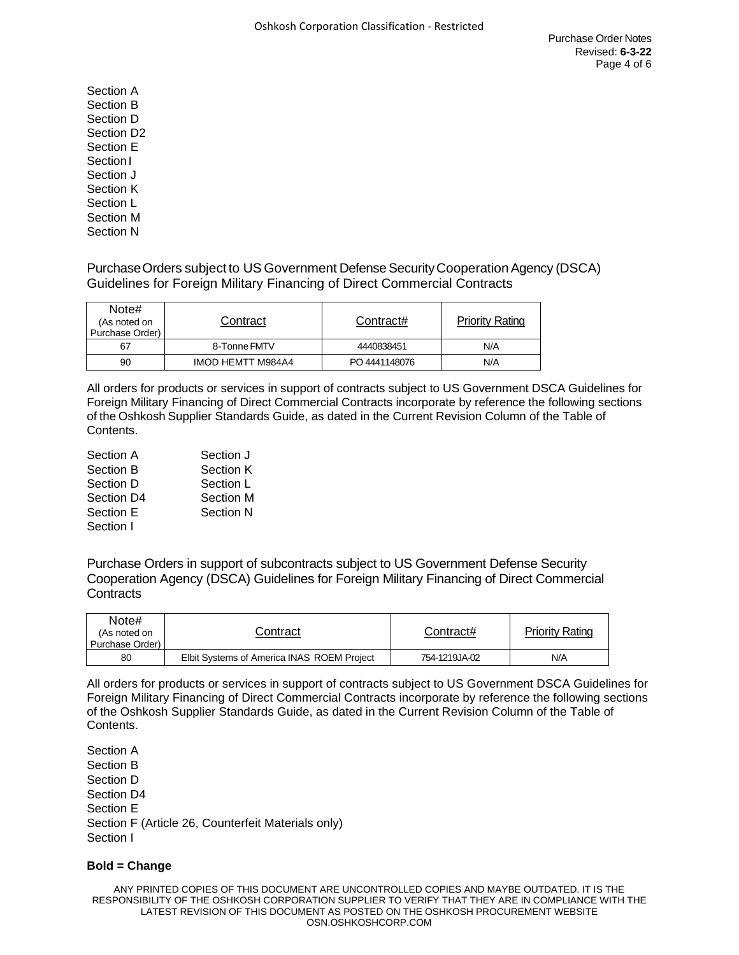Section A Section B Section D Section D2 Section E Section<sub>I</sub> Section J Section K Section L Section M Section N

Purchase Orders subject to US Government Defense Security Cooperation Agency (DSCA) Guidelines for Foreign Military Financing of Direct Commercial Contracts

| Note#<br>(As noted on<br>Purchase Order) | Contract                 | Contract#     | <b>Priority Rating</b> |
|------------------------------------------|--------------------------|---------------|------------------------|
| 67                                       | 8-Tonne FMTV             | 4440838451    | N/A                    |
| 90                                       | <b>IMOD HEMTT M984A4</b> | PO 4441148076 | N/A                    |

All orders for products or services in support of contracts subject to US Government DSCA Guidelines for Foreign Military Financing of Direct Commercial Contracts incorporate by reference the following sections of the Oshkosh Supplier Standards Guide, as dated in the Current Revision Column of the Table of Contents.

| Section A  | Section J        |
|------------|------------------|
| Section B  | Section K        |
| Section D  | Section L        |
| Section D4 | Section M        |
| Section E  | <b>Section N</b> |
| Section I  |                  |

Purchase Orders in support of subcontracts subject to US Government Defense Security Cooperation Agency (DSCA) Guidelines for Foreign Military Financing of Direct Commercial **Contracts** 

| Note#<br>(As noted on<br>Purchase Order) | Contract                                   | Contract#     | <b>Priority Rating</b> |
|------------------------------------------|--------------------------------------------|---------------|------------------------|
| 80                                       | Elbit Systems of America INAS ROEM Project | 754-1219JA-02 | N/A                    |

All orders for products or services in support of contracts subject to US Government DSCA Guidelines for Foreign Military Financing of Direct Commercial Contracts incorporate by reference the following sections of the Oshkosh Supplier Standards Guide, as dated in the Current Revision Column of the Table of Contents.

Section A Section B Section D Section D4 Section E Section F (Article 26, Counterfeit Materials only) Section I

#### **Bold = Change**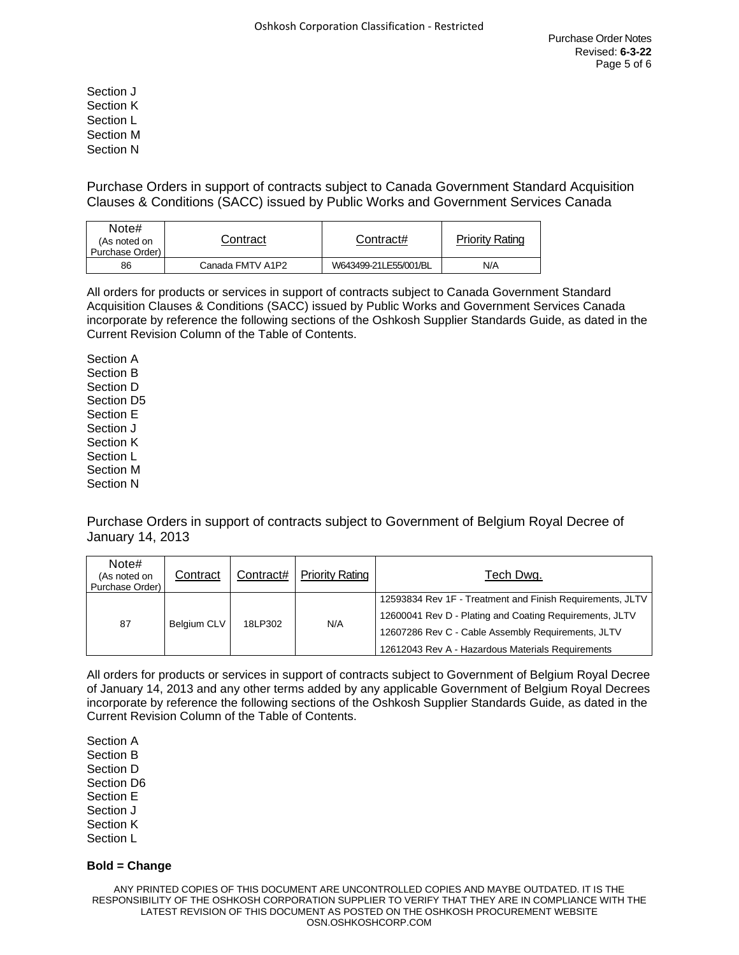Section J Section K Section L Section M Section N

Purchase Orders in support of contracts subject to Canada Government Standard Acquisition Clauses & Conditions (SACC) issued by Public Works and Government Services Canada

| Note#<br>(As noted on<br>Purchase Order) | Contract         | Contract#             | <b>Priority Rating</b> |
|------------------------------------------|------------------|-----------------------|------------------------|
| 86                                       | Canada FMTV A1P2 | W643499-21LE55/001/BL | N/A                    |

All orders for products or services in support of contracts subject to Canada Government Standard Acquisition Clauses & Conditions (SACC) issued by Public Works and Government Services Canada incorporate by reference the following sections of the Oshkosh Supplier Standards Guide, as dated in the Current Revision Column of the Table of Contents.

Section A Section B Section D Section D5 Section E Section J Section K Section L Section M Section N

Purchase Orders in support of contracts subject to Government of Belgium Royal Decree of January 14, 2013

| Note#<br>(As noted on<br>Purchase Order) | Contract    | Contract# | <b>Priority Rating</b> | Tech Dwg.                                                                                                                                                                                                                       |
|------------------------------------------|-------------|-----------|------------------------|---------------------------------------------------------------------------------------------------------------------------------------------------------------------------------------------------------------------------------|
| 87                                       | Belgium CLV | 18LP302   | N/A                    | 12593834 Rev 1F - Treatment and Finish Requirements, JLTV<br>12600041 Rev D - Plating and Coating Requirements, JLTV<br>12607286 Rev C - Cable Assembly Requirements, JLTV<br>12612043 Rev A - Hazardous Materials Requirements |

All orders for products or services in support of contracts subject to Government of Belgium Royal Decree of January 14, 2013 and any other terms added by any applicable Government of Belgium Royal Decrees incorporate by reference the following sections of the Oshkosh Supplier Standards Guide, as dated in the Current Revision Column of the Table of Contents.

Section A Section B Section D Section D6 Section E Section J Section K Section L

#### **Bold = Change**